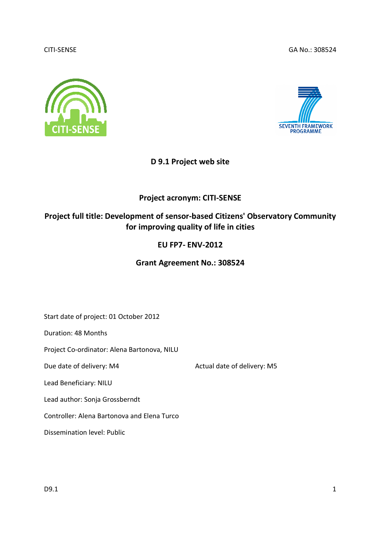### CITI-SENSE

GA No.: 308524





# D 9.1 Project web site

# Project acronym: CITI-SENSE

# Project full title: Development of sensor-based Citizens' Observatory Community for improving quality of life in cities life EU FP7- ENV-2012

# Grant Agreement No.: 308524

Start date of project: 01 October 2012

Duration: 48 Months

Project Co-ordinator: Alena Bartonova, NILU<br>Due date of delivery: M4 Actual date of delivery: M5

Due date of delivery: M4

Lead Beneficiary: NILU

Lead author: Sonja Grossberndt

Controller: Alena Bartonova and Elena Turco

Dissemination level: Public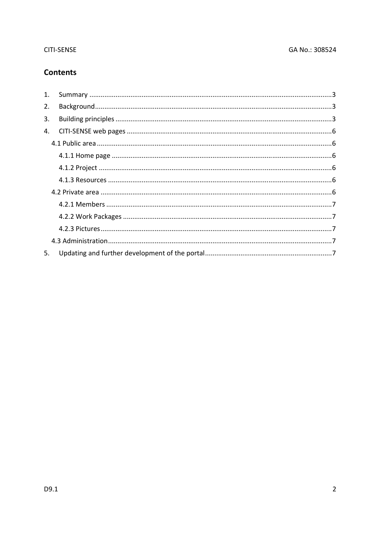# **CITI-SENSE**

# **Contents**

| $\mathbf{1}$ . |  |
|----------------|--|
| 2.             |  |
| 3.             |  |
| 4.             |  |
|                |  |
|                |  |
|                |  |
|                |  |
|                |  |
|                |  |
|                |  |
|                |  |
|                |  |
| 5.             |  |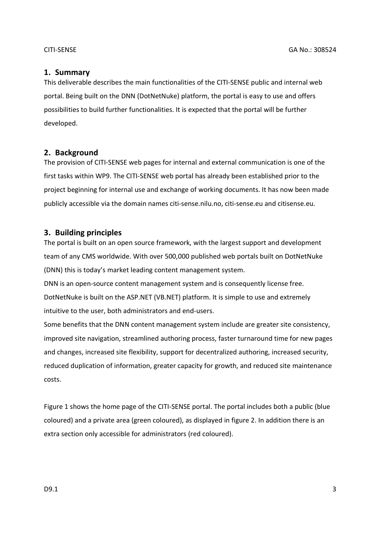# 1. Summary

This deliverable describes the main functionalities of the CITI-SENSE public and internal web portal. Being built on the DNN (DotNetNuke) platform, the portal is easy to use and offers possibilities to build further functionalities. It is expected that the portal will be further developed.

# 2. Background

The provision of CITI-SENSE web pages for internal and external communication is one of the first tasks within WP9. The CITI-SENSE web portal has already been established prior to the project beginning for internal use and exchange of working documents. It has now been made publicly accessible via the domain names citi-sense.nilu.no, citi-sense.eu and citisense.eu.

# 3. Building principles

The portal is built on an open source framework, with the largest support and development team of any CMS worldwide. With over 500,000 published web portals built on DotNetNuke (DNN) this is today's market leading content management system.

DNN is an open-source content management system and is consequently license free. DotNetNuke is built on the ASP.NET (VB.NET) platform. It is simple to use and extremely intuitive to the user, both administrators and end-users.

Some benefits that the DNN content management system include are greater site consistency, improved site navigation, streamlined authoring process, faster turnaround time for new pages and changes, increased site flexibility, support for decentralized authoring, increased security, reduced duplication of information, greater capacity for growth, and reduced site maintenance costs.

Figure 1 shows the home page of the CITI-SENSE portal. The portal includes both a public (blue coloured) and a private area (green coloured), as displayed in figure 2. In addition there is an extra section only accessible for administrators (red coloured).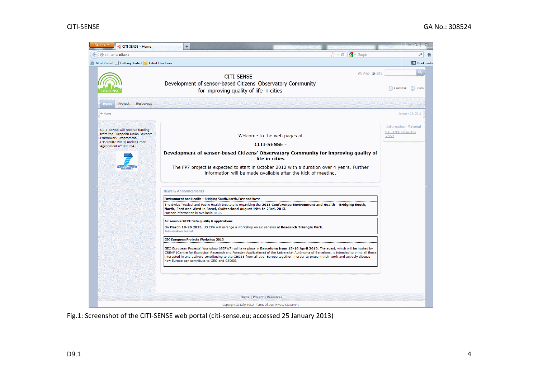

Fig.1: Screenshot of the CITI-SENSE web portal (citi-sense.eu; accessed 25 January 2013)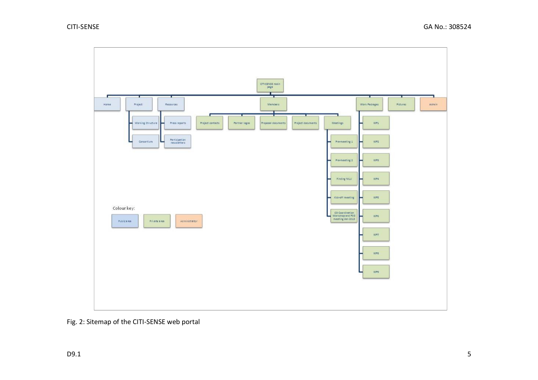

Fig. 2: Sitemap of the CITI-SENSE web portal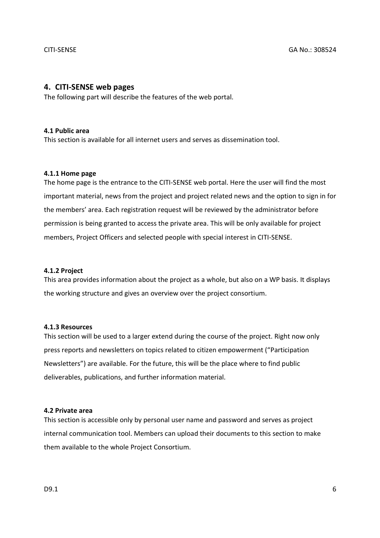### 4. CITI-SENSE web pages

The following part will describe the features of the web portal.

#### 4.1 Public area

This section is available for all internet users and serves as dissemination tool.

#### 4.1.1 Home page

The home page is the entrance to the CITI-SENSE web portal. Here the user will find the most important material, news from the project and project related news and the option to sign in for the members' area. Each registration request will be reviewed by the administrator before permission is being granted to access the private area. This will be only available for project members, Project Officers and selected people with special interest in CITI-SENSE.

#### 4.1.2 Project

This area provides information about the project as a whole, but also on a WP basis. It displays the working structure and gives an overview over the project consortium.

#### 4.1.3 Resources

This section will be used to a larger extend during the course of the project. Right now only press reports and newsletters on topics related to citizen empowerment ("Participation Newsletters") are available. For the future, this will be the place where to find public deliverables, publications, and further information material.

#### 4.2 Private area

This section is accessible only by personal user name and password and serves as project internal communication tool. Members can upload their documents to this section to make them available to the whole Project Consortium.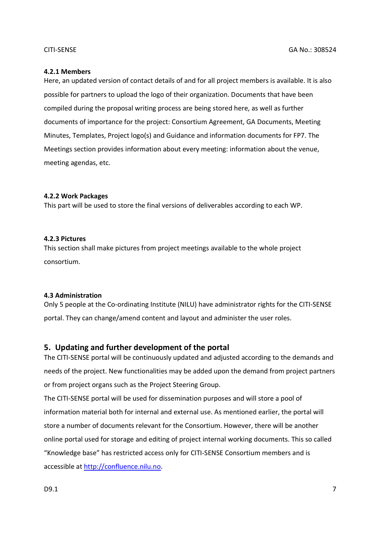## 4.2.1 Members

Here, an updated version of contact details of and for all project members is available. It is also possible for partners to upload the logo of their organization. Documents that have been compiled during the proposal writing process are being stored here, as well as further documents of importance for the project: Consortium Agreement, GA Documents, Meeting Minutes, Templates, Project logo(s) and Guidance and information documents for FP7. The Meetings section provides information about every meeting: information about the venue, meeting agendas, etc.

# 4.2.2 Work Packages

This part will be used to store the final versions of deliverables according to each WP.

# 4.2.3 Pictures

This section shall make pictures from project meetings available to the whole project consortium.

# 4.3 Administration

Only 5 people at the Co-ordinating Institute (NILU) have administrator rights for the CITI-SENSE portal. They can change/amend content and layout and administer the user roles.

# 5. Updating and further development of the portal

The CITI-SENSE portal will be continuously updated and adjusted according to the demands and needs of the project. New functionalities may be added upon the demand from project partners or from project organs such as the Project Steering Group.

The CITI-SENSE portal will be used for dissemination purposes and will store a pool of information material both for internal and external use. As mentioned earlier, the portal will store a number of documents relevant for the Consortium. However, there will be another online portal used for storage and editing of project internal working documents. This so called "Knowledge base" has restricted access only for CITI-SENSE Consortium members and is accessible at http://confluence.nilu.no.